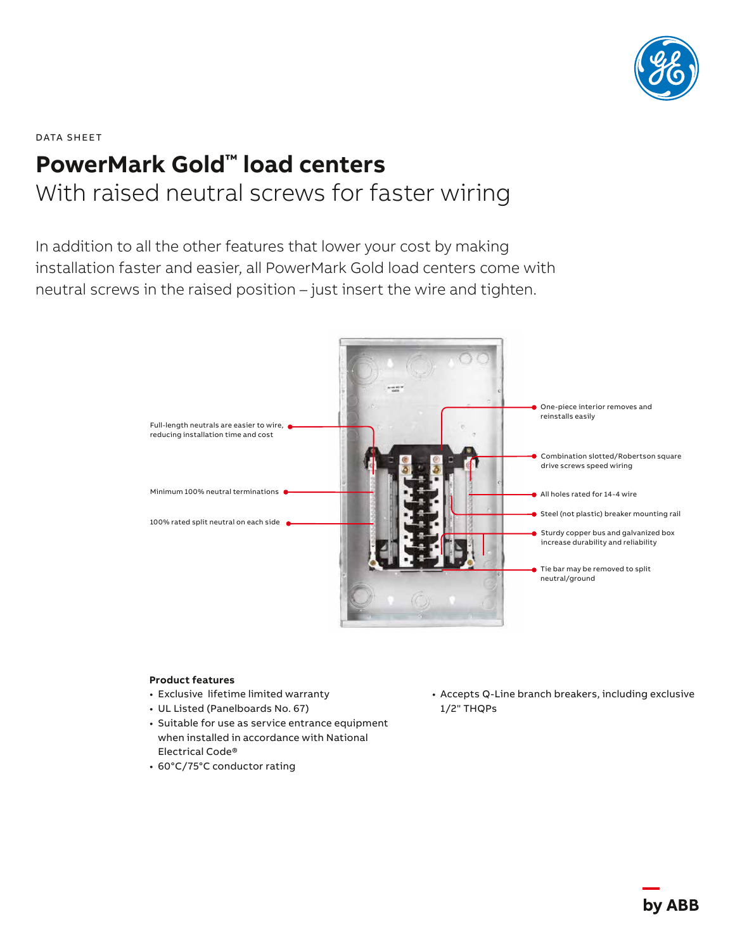

## DATA SHEET **PowerMark Gold™ load centers** With raised neutral screws for faster wiring

In addition to all the other features that lower your cost by making installation faster and easier, all PowerMark Gold load centers come with neutral screws in the raised position – just insert the wire and tighten.



## **Product features**

- Exclusive lifetime limited warranty
- UL Listed (Panelboards No. 67)
- Suitable for use as service entrance equipment when installed in accordance with National Electrical Code®
- 60°C/75°C conductor rating

• Accepts Q-Line branch breakers, including exclusive 1/2" THQPs